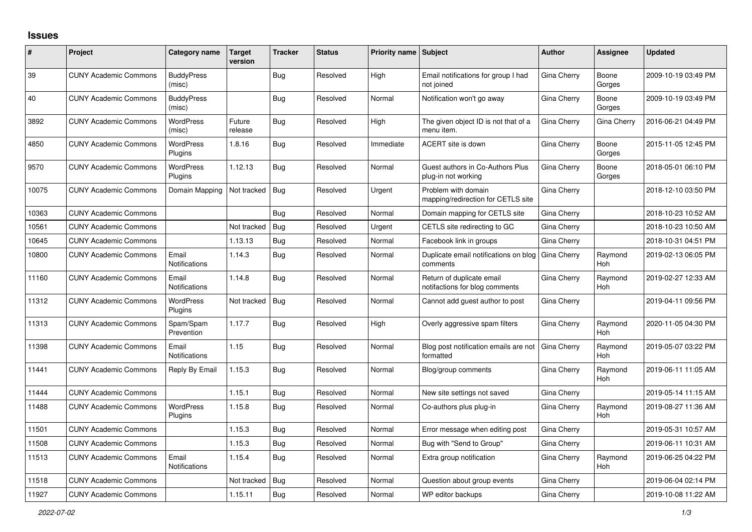## **Issues**

| #     | Project                      | Category name                 | <b>Target</b><br>version | <b>Tracker</b> | <b>Status</b> | <b>Priority name Subject</b> |                                                             | <b>Author</b> | Assignee              | <b>Updated</b>      |
|-------|------------------------------|-------------------------------|--------------------------|----------------|---------------|------------------------------|-------------------------------------------------------------|---------------|-----------------------|---------------------|
| 39    | <b>CUNY Academic Commons</b> | <b>BuddyPress</b><br>(misc)   |                          | Bug            | Resolved      | High                         | Email notifications for group I had<br>not joined           | Gina Cherry   | Boone<br>Gorges       | 2009-10-19 03:49 PM |
| 40    | <b>CUNY Academic Commons</b> | <b>BuddyPress</b><br>(misc)   |                          | Bug            | Resolved      | Normal                       | Notification won't go away                                  | Gina Cherry   | Boone<br>Gorges       | 2009-10-19 03:49 PM |
| 3892  | <b>CUNY Academic Commons</b> | <b>WordPress</b><br>(misc)    | Future<br>release        | Bug            | Resolved      | High                         | The given object ID is not that of a<br>menu item.          | Gina Cherry   | Gina Cherry           | 2016-06-21 04:49 PM |
| 4850  | <b>CUNY Academic Commons</b> | <b>WordPress</b><br>Plugins   | 1.8.16                   | Bug            | Resolved      | Immediate                    | ACERT site is down                                          | Gina Cherry   | Boone<br>Gorges       | 2015-11-05 12:45 PM |
| 9570  | <b>CUNY Academic Commons</b> | <b>WordPress</b><br>Plugins   | 1.12.13                  | <b>Bug</b>     | Resolved      | Normal                       | Guest authors in Co-Authors Plus<br>plug-in not working     | Gina Cherry   | Boone<br>Gorges       | 2018-05-01 06:10 PM |
| 10075 | <b>CUNY Academic Commons</b> | Domain Mapping                | Not tracked              | Bug            | Resolved      | Urgent                       | Problem with domain<br>mapping/redirection for CETLS site   | Gina Cherry   |                       | 2018-12-10 03:50 PM |
| 10363 | <b>CUNY Academic Commons</b> |                               |                          | Bug            | Resolved      | Normal                       | Domain mapping for CETLS site                               | Gina Cherry   |                       | 2018-10-23 10:52 AM |
| 10561 | <b>CUNY Academic Commons</b> |                               | Not tracked              | Bug            | Resolved      | Urgent                       | CETLS site redirecting to GC                                | Gina Cherry   |                       | 2018-10-23 10:50 AM |
| 10645 | <b>CUNY Academic Commons</b> |                               | 1.13.13                  | <b>Bug</b>     | Resolved      | Normal                       | Facebook link in groups                                     | Gina Cherry   |                       | 2018-10-31 04:51 PM |
| 10800 | <b>CUNY Academic Commons</b> | Email<br><b>Notifications</b> | 1.14.3                   | Bug            | Resolved      | Normal                       | Duplicate email notifications on blog<br>comments           | Gina Cherry   | Raymond<br>Hoh        | 2019-02-13 06:05 PM |
| 11160 | <b>CUNY Academic Commons</b> | Email<br><b>Notifications</b> | 1.14.8                   | Bug            | Resolved      | Normal                       | Return of duplicate email<br>notifactions for blog comments | Gina Cherry   | Raymond<br>Hoh        | 2019-02-27 12:33 AM |
| 11312 | <b>CUNY Academic Commons</b> | <b>WordPress</b><br>Plugins   | Not tracked              | Bug            | Resolved      | Normal                       | Cannot add guest author to post                             | Gina Cherry   |                       | 2019-04-11 09:56 PM |
| 11313 | <b>CUNY Academic Commons</b> | Spam/Spam<br>Prevention       | 1.17.7                   | <b>Bug</b>     | Resolved      | High                         | Overly aggressive spam filters                              | Gina Cherry   | Raymond<br>Hoh        | 2020-11-05 04:30 PM |
| 11398 | <b>CUNY Academic Commons</b> | Email<br>Notifications        | 1.15                     | <b>Bug</b>     | Resolved      | Normal                       | Blog post notification emails are not<br>formatted          | Gina Cherry   | Raymond<br><b>Hoh</b> | 2019-05-07 03:22 PM |
| 11441 | <b>CUNY Academic Commons</b> | Reply By Email                | 1.15.3                   | Bug            | Resolved      | Normal                       | Blog/group comments                                         | Gina Cherry   | Raymond<br>Hoh        | 2019-06-11 11:05 AM |
| 11444 | <b>CUNY Academic Commons</b> |                               | 1.15.1                   | Bug            | Resolved      | Normal                       | New site settings not saved                                 | Gina Cherry   |                       | 2019-05-14 11:15 AM |
| 11488 | <b>CUNY Academic Commons</b> | <b>WordPress</b><br>Plugins   | 1.15.8                   | <b>Bug</b>     | Resolved      | Normal                       | Co-authors plus plug-in                                     | Gina Cherry   | Raymond<br>Hoh        | 2019-08-27 11:36 AM |
| 11501 | <b>CUNY Academic Commons</b> |                               | 1.15.3                   | Bug            | Resolved      | Normal                       | Error message when editing post                             | Gina Cherry   |                       | 2019-05-31 10:57 AM |
| 11508 | <b>CUNY Academic Commons</b> |                               | 1.15.3                   | Bug            | Resolved      | Normal                       | Bug with "Send to Group"                                    | Gina Cherry   |                       | 2019-06-11 10:31 AM |
| 11513 | <b>CUNY Academic Commons</b> | Email<br><b>Notifications</b> | 1.15.4                   | <b>Bug</b>     | Resolved      | Normal                       | Extra group notification                                    | Gina Cherry   | Raymond<br>Hoh        | 2019-06-25 04:22 PM |
| 11518 | <b>CUNY Academic Commons</b> |                               | Not tracked              | <b>Bug</b>     | Resolved      | Normal                       | Question about group events                                 | Gina Cherry   |                       | 2019-06-04 02:14 PM |
| 11927 | <b>CUNY Academic Commons</b> |                               | 1.15.11                  | <b>Bug</b>     | Resolved      | Normal                       | WP editor backups                                           | Gina Cherry   |                       | 2019-10-08 11:22 AM |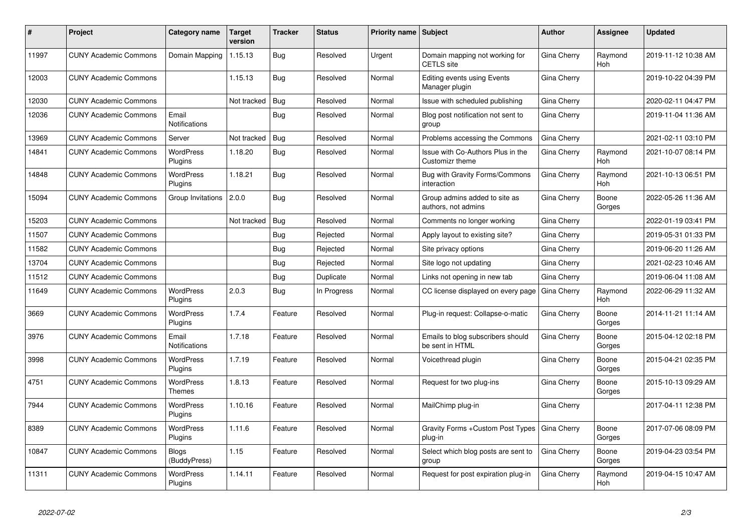| ∦     | Project                      | Category name                 | <b>Target</b><br>version | <b>Tracker</b> | <b>Status</b> | <b>Priority name Subject</b> |                                                      | Author      | Assignee        | <b>Updated</b>      |
|-------|------------------------------|-------------------------------|--------------------------|----------------|---------------|------------------------------|------------------------------------------------------|-------------|-----------------|---------------------|
| 11997 | <b>CUNY Academic Commons</b> | Domain Mapping                | 1.15.13                  | Bug            | Resolved      | Urgent                       | Domain mapping not working for<br><b>CETLS</b> site  | Gina Cherry | Raymond<br>Hoh  | 2019-11-12 10:38 AM |
| 12003 | <b>CUNY Academic Commons</b> |                               | 1.15.13                  | Bug            | Resolved      | Normal                       | Editing events using Events<br>Manager plugin        | Gina Cherry |                 | 2019-10-22 04:39 PM |
| 12030 | <b>CUNY Academic Commons</b> |                               | Not tracked              | Bug            | Resolved      | Normal                       | Issue with scheduled publishing                      | Gina Cherry |                 | 2020-02-11 04:47 PM |
| 12036 | <b>CUNY Academic Commons</b> | Email<br>Notifications        |                          | Bug            | Resolved      | Normal                       | Blog post notification not sent to<br>group          | Gina Cherry |                 | 2019-11-04 11:36 AM |
| 13969 | <b>CUNY Academic Commons</b> | Server                        | Not tracked              | Bug            | Resolved      | Normal                       | Problems accessing the Commons                       | Gina Cherry |                 | 2021-02-11 03:10 PM |
| 14841 | <b>CUNY Academic Commons</b> | <b>WordPress</b><br>Plugins   | 1.18.20                  | Bug            | Resolved      | Normal                       | Issue with Co-Authors Plus in the<br>Customizr theme | Gina Cherry | Raymond<br>Hoh  | 2021-10-07 08:14 PM |
| 14848 | <b>CUNY Academic Commons</b> | <b>WordPress</b><br>Plugins   | 1.18.21                  | <b>Bug</b>     | Resolved      | Normal                       | Bug with Gravity Forms/Commons<br>interaction        | Gina Cherry | Raymond<br>Hoh  | 2021-10-13 06:51 PM |
| 15094 | <b>CUNY Academic Commons</b> | Group Invitations             | 2.0.0                    | Bug            | Resolved      | Normal                       | Group admins added to site as<br>authors, not admins | Gina Cherry | Boone<br>Gorges | 2022-05-26 11:36 AM |
| 15203 | <b>CUNY Academic Commons</b> |                               | Not tracked              | Bug            | Resolved      | Normal                       | Comments no longer working                           | Gina Cherry |                 | 2022-01-19 03:41 PM |
| 11507 | <b>CUNY Academic Commons</b> |                               |                          | <b>Bug</b>     | Rejected      | Normal                       | Apply layout to existing site?                       | Gina Cherry |                 | 2019-05-31 01:33 PM |
| 11582 | <b>CUNY Academic Commons</b> |                               |                          | Bug            | Rejected      | Normal                       | Site privacy options                                 | Gina Cherry |                 | 2019-06-20 11:26 AM |
| 13704 | <b>CUNY Academic Commons</b> |                               |                          | Bug            | Rejected      | Normal                       | Site logo not updating                               | Gina Cherry |                 | 2021-02-23 10:46 AM |
| 11512 | <b>CUNY Academic Commons</b> |                               |                          | Bug            | Duplicate     | Normal                       | Links not opening in new tab                         | Gina Cherry |                 | 2019-06-04 11:08 AM |
| 11649 | <b>CUNY Academic Commons</b> | <b>WordPress</b><br>Plugins   | 2.0.3                    | <b>Bug</b>     | In Progress   | Normal                       | CC license displayed on every page                   | Gina Cherry | Raymond<br>Hoh  | 2022-06-29 11:32 AM |
| 3669  | <b>CUNY Academic Commons</b> | <b>WordPress</b><br>Plugins   | 1.7.4                    | Feature        | Resolved      | Normal                       | Plug-in request: Collapse-o-matic                    | Gina Cherry | Boone<br>Gorges | 2014-11-21 11:14 AM |
| 3976  | <b>CUNY Academic Commons</b> | Email<br><b>Notifications</b> | 1.7.18                   | Feature        | Resolved      | Normal                       | Emails to blog subscribers should<br>be sent in HTML | Gina Cherry | Boone<br>Gorges | 2015-04-12 02:18 PM |
| 3998  | <b>CUNY Academic Commons</b> | <b>WordPress</b><br>Plugins   | 1.7.19                   | Feature        | Resolved      | Normal                       | Voicethread plugin                                   | Gina Cherry | Boone<br>Gorges | 2015-04-21 02:35 PM |
| 4751  | <b>CUNY Academic Commons</b> | <b>WordPress</b><br>Themes    | 1.8.13                   | Feature        | Resolved      | Normal                       | Request for two plug-ins                             | Gina Cherry | Boone<br>Gorges | 2015-10-13 09:29 AM |
| 7944  | <b>CUNY Academic Commons</b> | <b>WordPress</b><br>Plugins   | 1.10.16                  | Feature        | Resolved      | Normal                       | MailChimp plug-in                                    | Gina Cherry |                 | 2017-04-11 12:38 PM |
| 8389  | <b>CUNY Academic Commons</b> | <b>WordPress</b><br>Plugins   | 1.11.6                   | Feature        | Resolved      | Normal                       | Gravity Forms + Custom Post Types<br>plug-in         | Gina Cherry | Boone<br>Gorges | 2017-07-06 08:09 PM |
| 10847 | <b>CUNY Academic Commons</b> | <b>Blogs</b><br>(BuddyPress)  | 1.15                     | Feature        | Resolved      | Normal                       | Select which blog posts are sent to<br>group         | Gina Cherry | Boone<br>Gorges | 2019-04-23 03:54 PM |
| 11311 | <b>CUNY Academic Commons</b> | <b>WordPress</b><br>Plugins   | 1.14.11                  | Feature        | Resolved      | Normal                       | Request for post expiration plug-in                  | Gina Cherry | Raymond<br>Hoh  | 2019-04-15 10:47 AM |